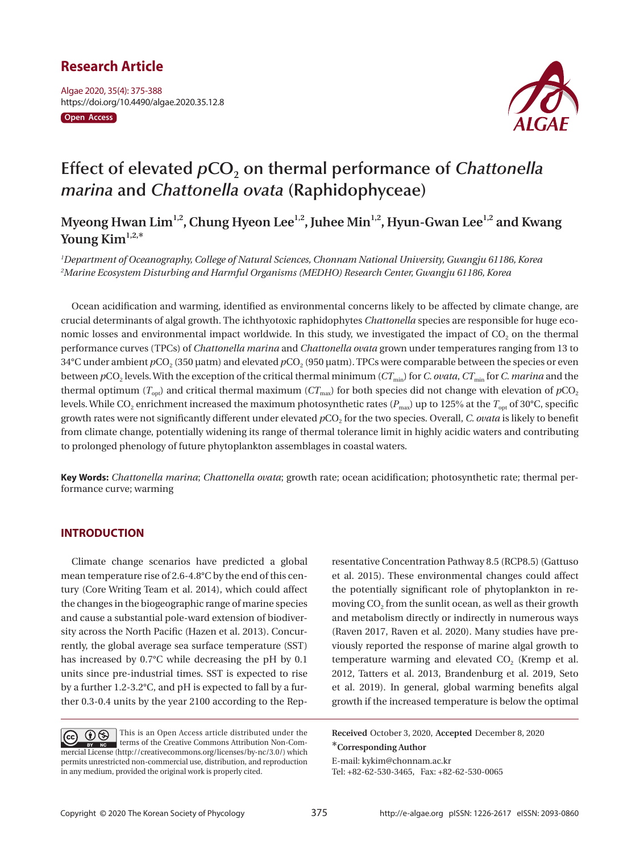# **Research Article**

Algae 2020, 35(4): 375-388 https://doi.org/10.4490/algae.2020.35.12.8

**Open Access**



# Effect of elevated  $pCO<sub>2</sub>$  on thermal performance of *Chattonella marina* **and** *Chattonella ovata* **(Raphidophyceae)**

Myeong Hwan Lim<sup>1,2</sup>, Chung Hyeon Lee<sup>1,2</sup>, Juhee Min<sup>1,2</sup>, Hyun-Gwan Lee<sup>1,2</sup> and Kwang Young Kim<sup>1,2,\*</sup>

*1 Department of Oceanography, College of Natural Sciences, Chonnam National University, Gwangju 61186, Korea 2 Marine Ecosystem Disturbing and Harmful Organisms (MEDHO) Research Center, Gwangju 61186, Korea* 

Ocean acidification and warming, identified as environmental concerns likely to be affected by climate change, are crucial determinants of algal growth. The ichthyotoxic raphidophytes *Chattonella* species are responsible for huge economic losses and environmental impact worldwide. In this study, we investigated the impact of CO<sub>2</sub> on the thermal performance curves (TPCs) of *Chattonella marina* and *Chattonella ovata* grown under temperatures ranging from 13 to 34°C under ambient *p*CO<sub>2</sub> (350 μatm) and elevated *p*CO<sub>2</sub> (950 μatm). TPCs were comparable between the species or even between  $pCO_2$  levels. With the exception of the critical thermal minimum ( $CT_{min}$ ) for *C. ovata*,  $CT_{min}$  for *C. marina* and the thermal optimum ( $T_{opt}$ ) and critical thermal maximum ( $CT_{max}$ ) for both species did not change with elevation of  $pCO_2$ levels. While CO<sub>2</sub> enrichment increased the maximum photosynthetic rates ( $P_{\text{max}}$ ) up to 125% at the  $T_{\text{opt}}$  of 30°C, specific growth rates were not significantly different under elevated  $pCO<sub>2</sub>$  for the two species. Overall, *C. ovata* is likely to benefit from climate change, potentially widening its range of thermal tolerance limit in highly acidic waters and contributing to prolonged phenology of future phytoplankton assemblages in coastal waters.

**Key Words:** *Chattonella marina*; *Chattonella ovata*; growth rate; ocean acidification; photosynthetic rate; thermal performance curve; warming

### **INTRODUCTION**

Climate change scenarios have predicted a global mean temperature rise of 2.6-4.8°C by the end of this century (Core Writing Team et al. 2014), which could affect the changes in the biogeographic range of marine species and cause a substantial pole-ward extension of biodiversity across the North Pacific (Hazen et al. 2013). Concurrently, the global average sea surface temperature (SST) has increased by 0.7°C while decreasing the pH by 0.1 units since pre-industrial times. SST is expected to rise by a further 1.2-3.2°C, and pH is expected to fall by a further 0.3-0.4 units by the year 2100 according to the Rep-

et al. 2015). These environmental changes could affect the potentially significant role of phytoplankton in removing  $CO<sub>2</sub>$  from the sunlit ocean, as well as their growth and metabolism directly or indirectly in numerous ways (Raven 2017, Raven et al. 2020). Many studies have previously reported the response of marine algal growth to temperature warming and elevated  $CO<sub>2</sub>$  (Kremp et al. 2012, Tatters et al. 2013, Brandenburg et al. 2019, Seto et al. 2019). In general, global warming benefits algal growth if the increased temperature is below the optimal

resentative Concentration Pathway 8.5 (RCP8.5) (Gattuso

**Received** October 3, 2020, **Accepted** December 8, 2020 \***Corresponding Author**

E-mail: kykim@chonnam.ac.kr Tel: +82-62-530-3465, Fax: +82-62-530-0065

This is an Open Access article distributed under the  $\left(\overline{cc}\right)$ terms of the Creative Commons Attribution Non-Commercial License (http://creativecommons.org/licenses/by-nc/3.0/) which permits unrestricted non-commercial use, distribution, and reproduction in any medium, provided the original work is properly cited.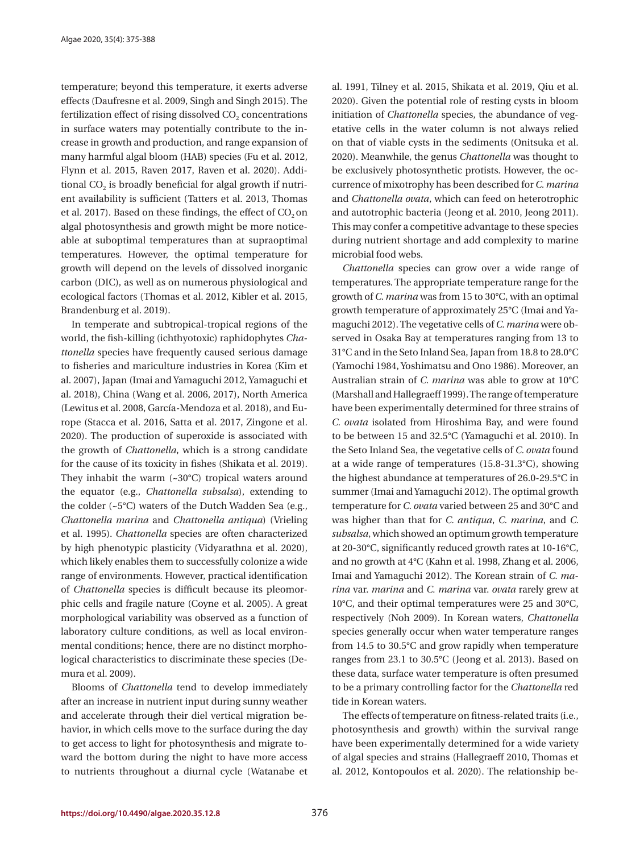temperature; beyond this temperature, it exerts adverse effects (Daufresne et al. 2009, Singh and Singh 2015). The fertilization effect of rising dissolved  $CO<sub>2</sub>$  concentrations in surface waters may potentially contribute to the increase in growth and production, and range expansion of many harmful algal bloom (HAB) species (Fu et al. 2012, Flynn et al. 2015, Raven 2017, Raven et al. 2020). Additional CO<sub>2</sub> is broadly beneficial for algal growth if nutrient availability is sufficient (Tatters et al. 2013, Thomas et al. 2017). Based on these findings, the effect of  $CO<sub>2</sub>$  on algal photosynthesis and growth might be more noticeable at suboptimal temperatures than at supraoptimal temperatures. However, the optimal temperature for growth will depend on the levels of dissolved inorganic carbon (DIC), as well as on numerous physiological and ecological factors (Thomas et al. 2012, Kibler et al. 2015, Brandenburg et al. 2019).

In temperate and subtropical-tropical regions of the world, the fish-killing (ichthyotoxic) raphidophytes *Chattonella* species have frequently caused serious damage to fisheries and mariculture industries in Korea (Kim et al. 2007), Japan (Imai and Yamaguchi 2012, Yamaguchi et al. 2018), China (Wang et al. 2006, 2017), North America (Lewitus et al. 2008, García-Mendoza et al. 2018), and Europe (Stacca et al. 2016, Satta et al. 2017, Zingone et al. 2020). The production of superoxide is associated with the growth of *Chattonella*, which is a strong candidate for the cause of its toxicity in fishes (Shikata et al. 2019). They inhabit the warm (~30°C) tropical waters around the equator (e.g., *Chattonella subsalsa*), extending to the colder (~5°C) waters of the Dutch Wadden Sea (e.g., *Chattonella marina* and *Chattonella antiqua*) (Vrieling et al. 1995). *Chattonella* species are often characterized by high phenotypic plasticity (Vidyarathna et al. 2020), which likely enables them to successfully colonize a wide range of environments. However, practical identification of *Chattonella* species is difficult because its pleomorphic cells and fragile nature (Coyne et al. 2005). A great morphological variability was observed as a function of laboratory culture conditions, as well as local environmental conditions; hence, there are no distinct morphological characteristics to discriminate these species (Demura et al. 2009).

Blooms of *Chattonella* tend to develop immediately after an increase in nutrient input during sunny weather and accelerate through their diel vertical migration behavior, in which cells move to the surface during the day to get access to light for photosynthesis and migrate toward the bottom during the night to have more access to nutrients throughout a diurnal cycle (Watanabe et al. 1991, Tilney et al. 2015, Shikata et al. 2019, Qiu et al. 2020). Given the potential role of resting cysts in bloom initiation of *Chattonella* species, the abundance of vegetative cells in the water column is not always relied on that of viable cysts in the sediments (Onitsuka et al. 2020). Meanwhile, the genus *Chattonella* was thought to be exclusively photosynthetic protists. However, the occurrence of mixotrophy has been described for *C. marina* and *Chattonella ovata*, which can feed on heterotrophic and autotrophic bacteria (Jeong et al. 2010, Jeong 2011). This may confer a competitive advantage to these species during nutrient shortage and add complexity to marine microbial food webs.

*Chattonella* species can grow over a wide range of temperatures. The appropriate temperature range for the growth of *C. marina* was from 15 to 30°C, with an optimal growth temperature of approximately 25°C (Imai and Yamaguchi 2012). The vegetative cells of *C. marina* were observed in Osaka Bay at temperatures ranging from 13 to 31°C and in the Seto Inland Sea, Japan from 18.8 to 28.0°C (Yamochi 1984, Yoshimatsu and Ono 1986). Moreover, an Australian strain of *C. marina* was able to grow at 10°C (Marshall and Hallegraeff 1999). The range of temperature have been experimentally determined for three strains of *C. ovata* isolated from Hiroshima Bay, and were found to be between 15 and 32.5°C (Yamaguchi et al. 2010). In the Seto Inland Sea, the vegetative cells of *C. ovata* found at a wide range of temperatures (15.8-31.3°C), showing the highest abundance at temperatures of 26.0-29.5°C in summer (Imai and Yamaguchi 2012). The optimal growth temperature for *C. ovata* varied between 25 and 30°C and was higher than that for *C. antiqua*, *C. marina*, and *C. subsalsa*, which showed an optimum growth temperature at 20-30°C, significantly reduced growth rates at 10-16°C, and no growth at 4°C (Kahn et al. 1998, Zhang et al. 2006, Imai and Yamaguchi 2012). The Korean strain of *C. marina* var. *marina* and *C. marina* var. *ovata* rarely grew at 10°C, and their optimal temperatures were 25 and 30°C, respectively (Noh 2009). In Korean waters, *Chattonella* species generally occur when water temperature ranges from 14.5 to 30.5°C and grow rapidly when temperature ranges from 23.1 to 30.5°C (Jeong et al. 2013). Based on these data, surface water temperature is often presumed to be a primary controlling factor for the *Chattonella* red tide in Korean waters.

The effects of temperature on fitness-related traits (i.e., photosynthesis and growth) within the survival range have been experimentally determined for a wide variety of algal species and strains (Hallegraeff 2010, Thomas et al. 2012, Kontopoulos et al. 2020). The relationship be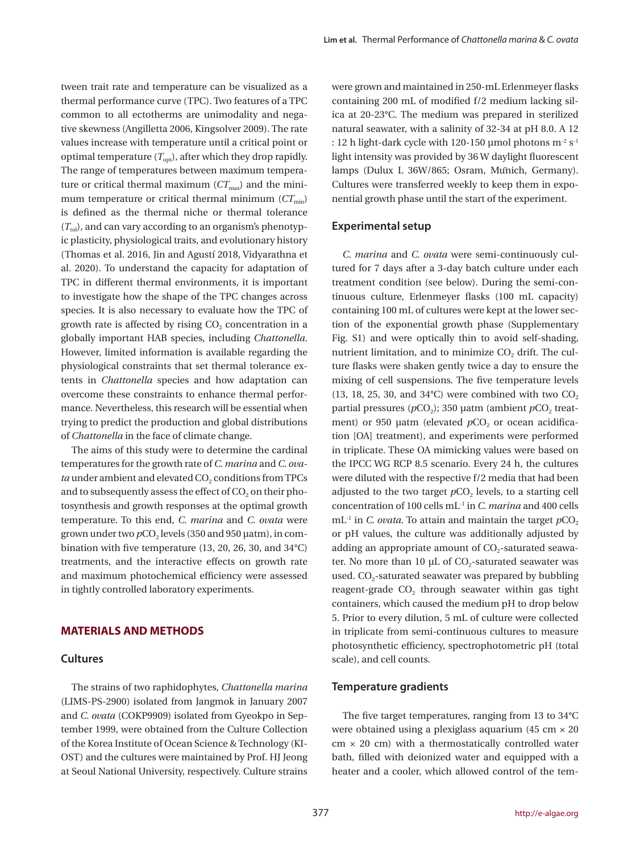tween trait rate and temperature can be visualized as a thermal performance curve (TPC). Two features of a TPC common to all ectotherms are unimodality and negative skewness (Angilletta 2006, Kingsolver 2009). The rate values increase with temperature until a critical point or optimal temperature  $(T_{opt})$ , after which they drop rapidly. The range of temperatures between maximum temperature or critical thermal maximum  $(CT<sub>max</sub>)$  and the minimum temperature or critical thermal minimum  $(CT_{min})$ is defined as the thermal niche or thermal tolerance  $(T_{\text{tol}})$ , and can vary according to an organism's phenotypic plasticity, physiological traits, and evolutionary history (Thomas et al. 2016, Jin and Agustí 2018, Vidyarathna et al. 2020). To understand the capacity for adaptation of TPC in different thermal environments, it is important to investigate how the shape of the TPC changes across species. It is also necessary to evaluate how the TPC of growth rate is affected by rising  $CO<sub>2</sub>$  concentration in a globally important HAB species, including *Chattonella*. However, limited information is available regarding the physiological constraints that set thermal tolerance extents in *Chattonella* species and how adaptation can overcome these constraints to enhance thermal performance. Nevertheless, this research will be essential when trying to predict the production and global distributions of *Chattonella* in the face of climate change.

The aims of this study were to determine the cardinal temperatures for the growth rate of *C. marina* and *C. ovata* under ambient and elevated CO<sub>2</sub> conditions from TPCs and to subsequently assess the effect of  $CO<sub>2</sub>$  on their photosynthesis and growth responses at the optimal growth temperature. To this end, *C. marina* and *C. ovata* were grown under two *p*CO<sub>2</sub> levels (350 and 950 μatm), in combination with five temperature (13, 20, 26, 30, and 34°C) treatments, and the interactive effects on growth rate and maximum photochemical efficiency were assessed in tightly controlled laboratory experiments.

#### **MATERIALS AND METHODS**

#### **Cultures**

The strains of two raphidophytes, *Chattonella marina* (LIMS-PS-2900) isolated from Jangmok in January 2007 and *C. ovata* (COKP9909) isolated from Gyeokpo in September 1999, were obtained from the Culture Collection of the Korea Institute of Ocean Science & Technology (KI-OST) and the cultures were maintained by Prof. HJ Jeong at Seoul National University, respectively. Culture strains

were grown and maintained in 250-mL Erlenmeyer flasks containing 200 mL of modified f/2 medium lacking silica at 20-23°C. The medium was prepared in sterilized natural seawater, with a salinity of 32-34 at pH 8.0. A 12 : 12 h light-dark cycle with 120-150 µmol photons  $m^2 s^1$ light intensity was provided by 36 W daylight fluorescent lamps (Dulux L 36W/865; Osram, Münich, Germany). Cultures were transferred weekly to keep them in exponential growth phase until the start of the experiment.

#### **Experimental setup**

*C. marina* and *C. ovata* were semi-continuously cultured for 7 days after a 3-day batch culture under each treatment condition (see below). During the semi-continuous culture, Erlenmeyer flasks (100 mL capacity) containing 100 mL of cultures were kept at the lower section of the exponential growth phase (Supplementary Fig. S1) and were optically thin to avoid self-shading, nutrient limitation, and to minimize CO<sub>2</sub> drift. The culture flasks were shaken gently twice a day to ensure the mixing of cell suspensions. The five temperature levels (13, 18, 25, 30, and  $34^{\circ}$ C) were combined with two CO<sub>2</sub> partial pressures ( $pCO<sub>2</sub>$ ); 350 μatm (ambient  $pCO<sub>2</sub>$  treatment) or 950 μatm (elevated *p*CO<sub>2</sub> or ocean acidification [OA] treatment), and experiments were performed in triplicate. These OA mimicking values were based on the IPCC WG RCP 8.5 scenario. Every 24 h, the cultures were diluted with the respective f/2 media that had been adjusted to the two target  $pCO<sub>2</sub>$  levels, to a starting cell concentration of 100 cells mL-1 in *C. marina* and 400 cells  $mL^{-1}$  in *C. ovata*. To attain and maintain the target  $pCO<sub>2</sub>$ or pH values, the culture was additionally adjusted by adding an appropriate amount of  $CO<sub>2</sub>$ -saturated seawater. No more than 10  $\mu$ L of CO<sub>2</sub>-saturated seawater was used.  $CO<sub>2</sub>$ -saturated seawater was prepared by bubbling reagent-grade CO<sub>2</sub> through seawater within gas tight containers, which caused the medium pH to drop below 5. Prior to every dilution, 5 mL of culture were collected in triplicate from semi-continuous cultures to measure photosynthetic efficiency, spectrophotometric pH (total scale), and cell counts.

#### **Temperature gradients**

The five target temperatures, ranging from 13 to 34°C were obtained using a plexiglass aquarium (45 cm  $\times$  20  $cm \times 20$  cm) with a thermostatically controlled water bath, filled with deionized water and equipped with a heater and a cooler, which allowed control of the tem-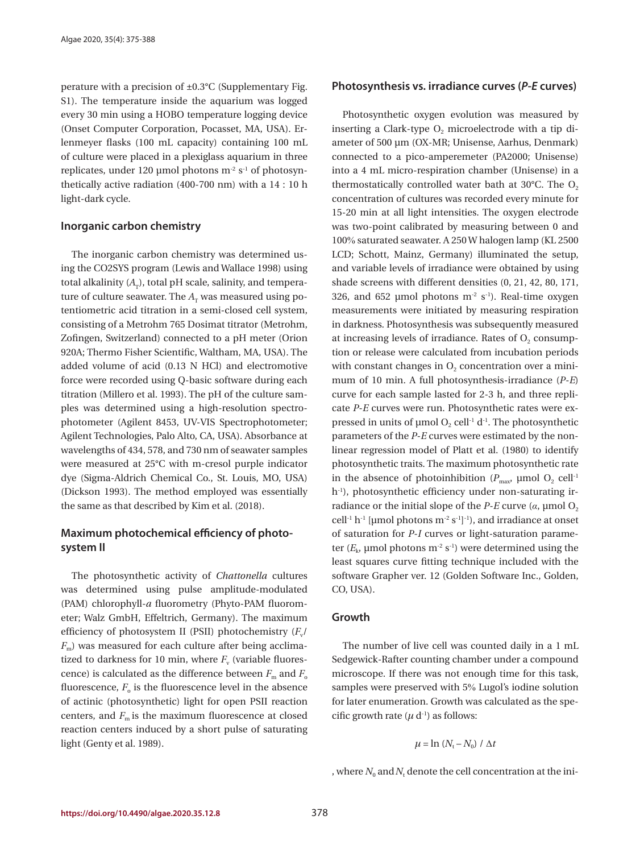perature with a precision of ±0.3°C (Supplementary Fig. S1). The temperature inside the aquarium was logged every 30 min using a HOBO temperature logging device (Onset Computer Corporation, Pocasset, MA, USA). Erlenmeyer flasks (100 mL capacity) containing 100 mL of culture were placed in a plexiglass aquarium in three replicates, under 120 µmol photons  $m^2 s^1$  of photosynthetically active radiation (400-700 nm) with a 14 : 10 h light-dark cycle.

#### **Inorganic carbon chemistry**

The inorganic carbon chemistry was determined using the CO2SYS program (Lewis and Wallace 1998) using total alkalinity  $(A_T)$ , total pH scale, salinity, and temperature of culture seawater. The  $A_T$  was measured using potentiometric acid titration in a semi-closed cell system, consisting of a Metrohm 765 Dosimat titrator (Metrohm, Zofingen, Switzerland) connected to a pH meter (Orion 920A; Thermo Fisher Scientific, Waltham, MA, USA). The added volume of acid (0.13 N HCl) and electromotive force were recorded using Q-basic software during each titration (Millero et al. 1993). The pH of the culture samples was determined using a high-resolution spectrophotometer (Agilent 8453, UV-VIS Spectrophotometer; Agilent Technologies, Palo Alto, CA, USA). Absorbance at wavelengths of 434, 578, and 730 nm of seawater samples were measured at 25°C with m-cresol purple indicator dye (Sigma-Aldrich Chemical Co., St. Louis, MO, USA) (Dickson 1993). The method employed was essentially the same as that described by Kim et al. (2018).

# **Maximum photochemical efficiency of photosystem II**

The photosynthetic activity of *Chattonella* cultures was determined using pulse amplitude-modulated (PAM) chlorophyll-*a* fluorometry (Phyto-PAM fluorometer; Walz GmbH, Effeltrich, Germany). The maximum efficiency of photosystem II (PSII) photochemistry  $(F_v)$  $F<sub>m</sub>$ ) was measured for each culture after being acclimatized to darkness for 10 min, where  $F_v$  (variable fluorescence) is calculated as the difference between  $F_m$  and  $F_o$ fluorescence,  $F_{o}$  is the fluorescence level in the absence of actinic (photosynthetic) light for open PSII reaction centers, and  $F_m$  is the maximum fluorescence at closed reaction centers induced by a short pulse of saturating light (Genty et al. 1989).

#### **Photosynthesis vs. irradiance curves (***P***-***E* **curves)**

Photosynthetic oxygen evolution was measured by inserting a Clark-type  $O<sub>2</sub>$  microelectrode with a tip diameter of 500 µm (OX-MR; Unisense, Aarhus, Denmark) connected to a pico-amperemeter (PA2000; Unisense) into a 4 mL micro-respiration chamber (Unisense) in a thermostatically controlled water bath at  $30^{\circ}$ C. The O<sub>2</sub> concentration of cultures was recorded every minute for 15-20 min at all light intensities. The oxygen electrode was two-point calibrated by measuring between 0 and 100% saturated seawater. A 250 W halogen lamp (KL 2500 LCD; Schott, Mainz, Germany) illuminated the setup, and variable levels of irradiance were obtained by using shade screens with different densities (0, 21, 42, 80, 171, 326, and 652 µmol photons  $m<sup>-2</sup> s<sup>-1</sup>$ ). Real-time oxygen measurements were initiated by measuring respiration in darkness. Photosynthesis was subsequently measured at increasing levels of irradiance. Rates of  $O<sub>2</sub>$  consumption or release were calculated from incubation periods with constant changes in  $O<sub>2</sub>$  concentration over a minimum of 10 min. A full photosynthesis-irradiance (*P*-*E*) curve for each sample lasted for 2-3 h, and three replicate *P*-*E* curves were run. Photosynthetic rates were expressed in units of  $\mu$ mol O<sub>2</sub> cell<sup>-1</sup> d<sup>-1</sup>. The photosynthetic parameters of the *P*-*E* curves were estimated by the nonlinear regression model of Platt et al. (1980) to identify photosynthetic traits. The maximum photosynthetic rate in the absence of photoinhibition ( $P_{\text{max}}$ , μmol O<sub>2</sub> cell<sup>-1</sup> h<sup>-1</sup>), photosynthetic efficiency under non-saturating irradiance or the initial slope of the  $P$ - $E$  curve ( $\alpha$ , µmol  $O_2$ cell<sup>-1</sup> h<sup>-1</sup> [µmol photons m<sup>-2</sup> s<sup>-1</sup>]<sup>-1</sup>), and irradiance at onset of saturation for *P*-*I* curves or light-saturation parameter  $(E_k$ , µmol photons m<sup>-2</sup> s<sup>-1</sup>) were determined using the least squares curve fitting technique included with the software Grapher ver. 12 (Golden Software Inc., Golden, CO, USA).

#### **Growth**

The number of live cell was counted daily in a 1 mL Sedgewick-Rafter counting chamber under a compound microscope. If there was not enough time for this task, samples were preserved with 5% Lugol's iodine solution for later enumeration. Growth was calculated as the specific growth rate  $(\mu d^{-1})$  as follows:

$$
\mu = \ln (N_{\rm t} - N_{\rm 0}) / \Delta t
$$

, where  $N_0$  and  $N_{\rm t}$  denote the cell concentration at the ini-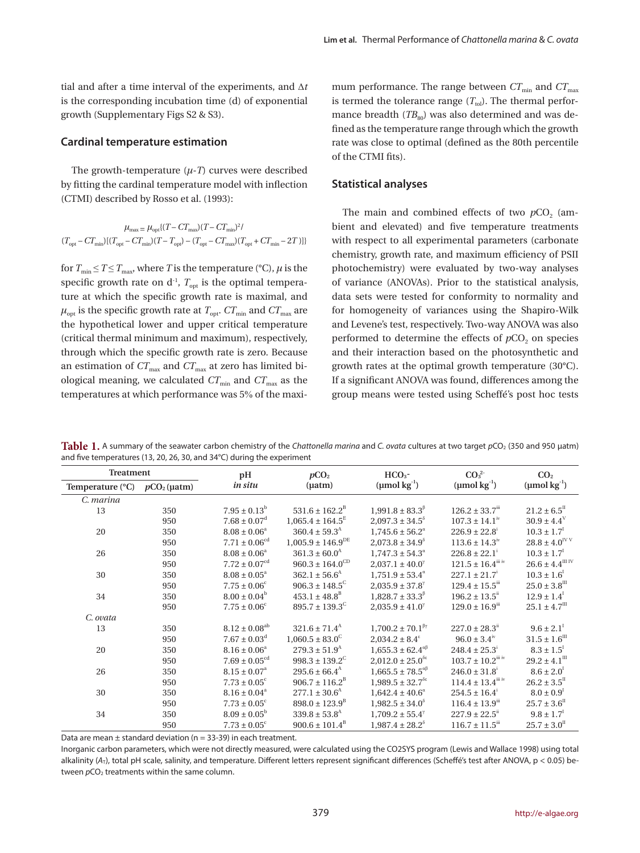tial and after a time interval of the experiments, and Δ*t* is the corresponding incubation time (d) of exponential growth (Supplementary Figs S2 & S3).

#### **Cardinal temperature estimation**

The growth-temperature (*μ*-*T*) curves were described by fitting the cardinal temperature model with inflection (CTMI) described by Rosso et al. (1993):

$$
\mu_{\text{max}} = \mu_{\text{opt}} \{ (T - CT_{\text{max}}) (T - CT_{\text{min}})^2 /
$$
  

$$
(T_{\text{opt}} - CT_{\text{min}}) [(T_{\text{opt}} - CT_{\text{min}}) (T - T_{\text{opt}}) - (T_{\text{opt}} - CT_{\text{max}}) (T_{\text{opt}} + CT_{\text{min}} - 2T)] \}
$$

for  $T_{\text{min}} \leq T \leq T_{\text{max}}$ , where *T* is the temperature (°C),  $\mu$  is the specific growth rate on  $d<sup>-1</sup>$ ,  $T<sub>opt</sub>$  is the optimal temperature at which the specific growth rate is maximal, and  $\mu_{\text{opt}}$  is the specific growth rate at  $T_{\text{opt}}$ .  $CT_{\text{min}}$  and  $CT_{\text{max}}$  are the hypothetical lower and upper critical temperature (critical thermal minimum and maximum), respectively, through which the specific growth rate is zero. Because an estimation of  $CT_{\text{max}}$  and  $CT_{\text{max}}$  at zero has limited biological meaning, we calculated  $CT_{min}$  and  $CT_{max}$  as the temperatures at which performance was 5% of the maximum performance. The range between  $CT_{min}$  and  $CT_{max}$ is termed the tolerance range  $(T_{\text{tol}})$ . The thermal performance breadth  $(TB_{80})$  was also determined and was defined as the temperature range through which the growth rate was close to optimal (defined as the 80th percentile of the CTMI fits).

#### **Statistical analyses**

The main and combined effects of two  $pCO<sub>2</sub>$  (ambient and elevated) and five temperature treatments with respect to all experimental parameters (carbonate chemistry, growth rate, and maximum efficiency of PSII photochemistry) were evaluated by two-way analyses of variance (ANOVAs). Prior to the statistical analysis, data sets were tested for conformity to normality and for homogeneity of variances using the Shapiro-Wilk and Levene's test, respectively. Two-way ANOVA was also performed to determine the effects of  $pCO<sub>2</sub>$  on species and their interaction based on the photosynthetic and growth rates at the optimal growth temperature (30°C). If a significant ANOVA was found, differences among the group means were tested using Scheffé's post hoc tests

**Table 1.** A summary of the seawater carbon chemistry of the *Chattonella marina* and *C. ovata* cultures at two target *p*CO<sub>2</sub> (350 and 950 μatm) and five temperatures (13, 20, 26, 30, and 34°C) during the experiment

| <b>Treatment</b>               |     | pН                            | pCO <sub>2</sub>                | $HCO3$ -                                                   | CO <sub>3</sub> <sup>2</sup>       | CO <sub>2</sub>                 |  |
|--------------------------------|-----|-------------------------------|---------------------------------|------------------------------------------------------------|------------------------------------|---------------------------------|--|
| Temperature (°C) $pCO2$ (µatm) |     | in situ                       | $(\mu atm)$                     | $(\text{µmol kg}^{-1})$                                    | $(\text{µmol}\,\text{kg}^{-1})$    | $(\text{µmol kg}^{-1})$         |  |
| C. marina                      |     |                               |                                 |                                                            |                                    |                                 |  |
| 13                             | 350 | $7.95 \pm 0.13^b$             | $531.6 \pm 162.2^{\circ}$       | $1,991.8 \pm 83.3^{\circ}$                                 | $126.2 \pm 33.7$ <sup>iii</sup>    | $21.2\pm6.5^{\text{\tiny{II}}}$ |  |
|                                | 950 | $7.68 \pm 0.07$ <sup>d</sup>  | $1,065.4 \pm 164.5^{\text{E}}$  | $2,097.3 \pm 34.5^{\circ}$                                 | $107.3 \pm 14.1^{\rm iv}$          | $30.9 \pm 4.4^{\circ}$          |  |
| 20                             | 350 | $8.08 \pm 0.06^a$             | $360.4 \pm 59.3^{\text{A}}$     | $1.745.6 \pm 56.2^{\circ}$                                 | $226.9 \pm 22.8$                   | $10.3 \pm 1.7^{\text{T}}$       |  |
|                                | 950 | $7.71 \pm 0.06^{\text{cd}}$   | $1,005.9 \pm 146.9^{\text{DE}}$ | $2,073.8 \pm 34.9^{\circ}$                                 | $113.6 \pm 14.3^{\rm iv}$          | $28.8 \pm 4.0^{\rm IV\,V}$      |  |
| 26                             | 350 | $8.08 \pm 0.06^a$             | $361.3 \pm 60.0^{\rm A}$        | $1.747.3 \pm 54.3^{\circ}$                                 | $226.8 \pm 22.1$ <sup>i</sup>      | $10.3 \pm 1.7^{\text{T}}$       |  |
|                                | 950 | $7.72 \pm 0.07^{\text{cd}}$   | $960.3 \pm 164.0^{\rm CD}$      | $2,037.1 \pm 40.0^{\gamma}$                                | $121.5 \pm 16.4$ <sup>iii iv</sup> | $26.6 \pm 4.4^{\rm III\,IV}$    |  |
| 30                             | 350 | $8.08 \pm 0.05^{\circ}$       | $362.1 \pm 56.6^{\text{A}}$     | $1,751.9 \pm 53.4^{\circ}$                                 | $227.1 \pm 21.7$ <sup>i</sup>      | $10.3 \pm 1.6$                  |  |
|                                | 950 | $7.75 \pm 0.06^{\circ}$       | $906.3 \pm 148.5^{\circ}$       | $2,035.9 \pm 37.8$ <sup>7</sup>                            | $129.4 \pm 15.5^{\text{m}}$        | $25.0 \pm 3.8$ <sup>III</sup>   |  |
| 34                             | 350 | $8.00 \pm 0.04^b$             | $453.1 \pm 48.8^{\circ}$        | $1,828.7 \pm 33.3^{\beta}$                                 | $196.2 \pm 13.5^{\text{ii}}$       | $12.9 \pm 1.4$ <sup>T</sup>     |  |
|                                | 950 | $7.75 \pm 0.06^{\circ}$       | $895.7 \pm 139.3^{\circ}$       | $2,035.9 \pm 41.0^{\circ}$                                 | $129.0 \pm 16.9$ <sup>ii</sup>     | $25.1 \pm 4.7$ <sup>III</sup>   |  |
| C. ovata                       |     |                               |                                 |                                                            |                                    |                                 |  |
| 13                             | 350 | $8.12 \pm 0.08$ <sup>ab</sup> | $321.6 \pm 71.4$ <sup>A</sup>   | $1,700.2 \pm 70.1^{\beta\gamma}$                           | $227.0 \pm 28.3$ <sup>"</sup>      | $9.6 \pm 2.1$                   |  |
|                                | 950 | $7.67 \pm 0.03$ <sup>d</sup>  | $1,060.5 \pm 83.0^{\circ}$      | $2,034.2 \pm 8.4^{\circ}$                                  | $96.0 \pm 3.4^{\rm iv}$            | $31.5 \pm 1.6$ <sup>III</sup>   |  |
| 20                             | 350 | $8.16 \pm 0.06^a$             | $279.3 \pm 51.9^{\text{A}}$     | $1,655.3\pm62.4^{\text{up}}$                               | $248.4 \pm 25.3^{\circ}$           | $8.3 \pm 1.5$                   |  |
|                                | 950 | $7.69 \pm 0.05^{\text{cd}}$   | $998.3 \pm 139.2^{\circ}$       | $2,012.0 \pm 25.0$ <sup>δε</sup>                           | $103.7 \pm 10.2^{\rm iii \, iv}$   | $29.2 \pm 4.1$ <sup>III</sup>   |  |
| 26                             | 350 | $8.15 \pm 0.07^{\circ}$       | $295.6\pm66.4^\text{A}$         | $1{,}665.5\pm78.5^{\text{up}}$                             | $246.0 \pm 31.8$ <sup>i</sup>      | $8.6 \pm 2.0^1$                 |  |
|                                | 950 | $7.73 \pm 0.05^{\circ}$       | $906.7 \pm 116.2^{\circ}$       | $1,989.5 \pm 32.7$ <sup><math>\delta \epsilon</math></sup> | $114.4 \pm 13.4$ <sup>iii iv</sup> | $26.2 \pm 3.5^{\mathrm{II}}$    |  |
| 30                             | 350 | $8.16 \pm 0.04^a$             | $277.1 \pm 30.6^{\text{A}}$     | $1,642.4 \pm 40.6^{\circ}$                                 | $254.5 \pm 16.4$ <sup>i</sup>      | $8.0 \pm 0.9^{\text{I}}$        |  |
|                                | 950 | $7.73 \pm 0.05^{\circ}$       | $898.0 \pm 123.9^{\text{B}}$    | $1,982.5 \pm 34.0^{\circ}$                                 | $116.4 \pm 13.9$ <sup>ii</sup>     | $25.7 \pm 3.6$ <sup>II</sup>    |  |
| 34                             | 350 | $8.09 \pm 0.05^{\rm b}$       | $339.8 \pm 53.8$ <sup>A</sup>   | $1,709.2 \pm 55.4^{\gamma}$                                | $227.9 \pm 22.5$ <sup>ii</sup>     | $9.8 \pm 1.7$ <sup>I</sup>      |  |
|                                | 950 | $7.73 \pm 0.05^{\circ}$       | $900.6 \pm 101.4^{\text{B}}$    | $1.987.4 \pm 28.2^{\circ}$                                 | $116.7 \pm 11.5$ <sup>ii</sup>     | $25.7 \pm 3.0$ <sup>II</sup>    |  |

Data are mean  $\pm$  standard deviation (n = 33-39) in each treatment.

Inorganic carbon parameters, which were not directly measured, were calculated using the CO2SYS program (Lewis and Wallace 1998) using total alkalinity (A<sub>T</sub>), total pH scale, salinity, and temperature. Different letters represent significant differences (Scheffé's test after ANOVA, p < 0.05) between  $pCO<sub>2</sub>$  treatments within the same column.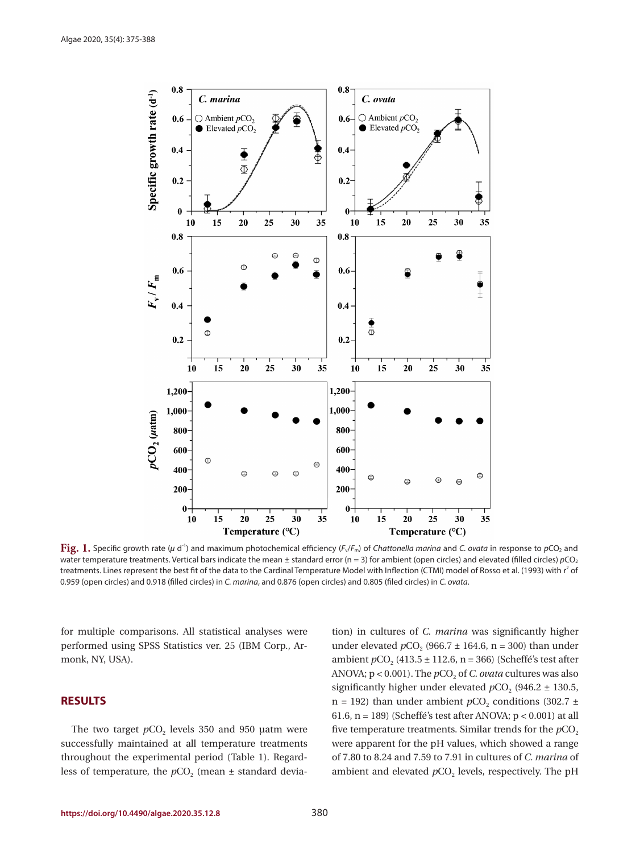

**Fig. 1.** Specific growth rate (*μ* d<sup>-1</sup>) and maximum photochemical efficiency (*F*<sub>v</sub>/*F*<sub>m</sub>) of *Chattonella marina* and *C. ovata* in response to *p*CO<sub>2</sub> and water temperature treatments. Vertical bars indicate the mean ± standard error (n = 3) for ambient (open circles) and elevated (filled circles)  $pCO<sub>2</sub>$ treatments. Lines represent the best fit of the data to the Cardinal Temperature Model with Inflection (CTMI) model of Rosso et al. (1993) with  $r^2$  of 0.959 (open circles) and 0.918 (filled circles) in *C. marina*, and 0.876 (open circles) and 0.805 (filed circles) in *C. ovata*.

for multiple comparisons. All statistical analyses were performed using SPSS Statistics ver. 25 (IBM Corp., Armonk, NY, USA).

## **RESULTS**

The two target  $pCO<sub>2</sub>$  levels 350 and 950 μatm were successfully maintained at all temperature treatments throughout the experimental period (Table 1). Regardless of temperature, the  $pCO<sub>2</sub>$  (mean  $\pm$  standard devia-

tion) in cultures of *C. marina* was significantly higher under elevated  $pCO_2$  (966.7  $\pm$  164.6, n = 300) than under ambient  $pCO_2$  (413.5 ± 112.6, n = 366) (Scheffé's test after ANOVA;  $p < 0.001$ ). The  $pCO<sub>2</sub>$  of *C. ovata* cultures was also significantly higher under elevated  $pCO<sub>2</sub>$  (946.2  $\pm$  130.5, n = 192) than under ambient  $pCO<sub>2</sub>$  conditions (302.7  $\pm$ 61.6,  $n = 189$ ) (Scheffé's test after ANOVA;  $p < 0.001$ ) at all five temperature treatments. Similar trends for the  $pCO<sub>2</sub>$ were apparent for the pH values, which showed a range of 7.80 to 8.24 and 7.59 to 7.91 in cultures of *C. marina* of ambient and elevated  $pCO<sub>2</sub>$  levels, respectively. The pH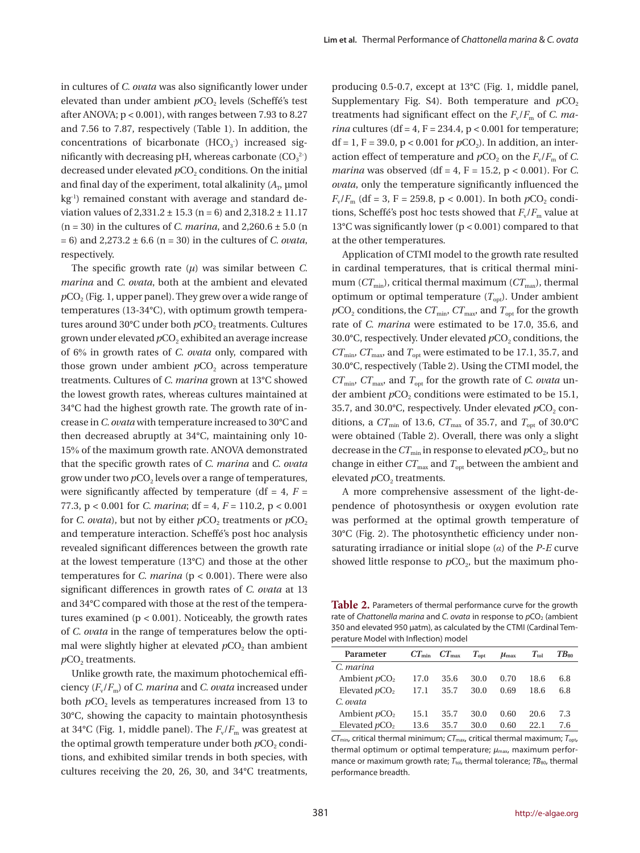in cultures of *C. ovata* was also significantly lower under elevated than under ambient *p*CO<sub>2</sub> levels (Scheffé's test after ANOVA; p < 0.001), with ranges between 7.93 to 8.27 and 7.56 to 7.87, respectively (Table 1). In addition, the concentrations of bicarbonate  $(HCO<sub>3</sub>)$  increased significantly with decreasing pH, whereas carbonate  $({\rm CO_3}^2)$ decreased under elevated  $pCO<sub>2</sub>$  conditions. On the initial and final day of the experiment, total alkalinity  $(A_{\text{D}})$  µmol kg<sup>-1</sup>) remained constant with average and standard deviation values of  $2,331.2 \pm 15.3$  (n = 6) and  $2,318.2 \pm 11.17$ (n = 30) in the cultures of *C. marina*, and 2,260.6 ± 5.0 (n = 6) and 2,273.2 ± 6.6 (n = 30) in the cultures of *C. ovata*, respectively.

The specific growth rate  $(\mu)$  was similar between *C*. *marina* and *C. ovata*, both at the ambient and elevated  $pCO<sub>2</sub>$  (Fig. 1, upper panel). They grew over a wide range of temperatures (13-34°C), with optimum growth temperatures around 30°C under both  $pCO<sub>2</sub>$  treatments. Cultures grown under elevated  $pCO<sub>2</sub>$  exhibited an average increase of 6% in growth rates of *C. ovata* only, compared with those grown under ambient  $pCO<sub>2</sub>$  across temperature treatments. Cultures of *C. marina* grown at 13°C showed the lowest growth rates, whereas cultures maintained at 34°C had the highest growth rate. The growth rate of increase in *C. ovata* with temperature increased to 30°C and then decreased abruptly at 34°C, maintaining only 10- 15% of the maximum growth rate. ANOVA demonstrated that the specific growth rates of *C. marina* and *C. ovata* grow under two  $pCO<sub>2</sub>$  levels over a range of temperatures, were significantly affected by temperature (df  $= 4$ ,  $F =$ 77.3, p < 0.001 for *C. marina*; df = 4, *F* = 110.2, p < 0.001 for *C. ovata*), but not by either  $pCO_2$  treatments or  $pCO_2$ and temperature interaction. Scheffé's post hoc analysis revealed significant differences between the growth rate at the lowest temperature (13°C) and those at the other temperatures for *C. marina* (p < 0.001). There were also significant differences in growth rates of *C. ovata* at 13 and 34°C compared with those at the rest of the temperatures examined  $(p < 0.001)$ . Noticeably, the growth rates of *C. ovata* in the range of temperatures below the optimal were slightly higher at elevated  $pCO<sub>2</sub>$  than ambient  $pCO<sub>2</sub>$  treatments.

Unlike growth rate, the maximum photochemical efficiency (*F*v/*F*m) of *C. marina* and *C. ovata* increased under both *pCO*<sub>2</sub> levels as temperatures increased from 13 to 30°C, showing the capacity to maintain photosynthesis at 34 $\rm{°C}$  (Fig. 1, middle panel). The  $F_{\rm v}/F_{\rm m}$  was greatest at the optimal growth temperature under both  $pCO<sub>2</sub>$  conditions, and exhibited similar trends in both species, with cultures receiving the 20, 26, 30, and 34°C treatments,

producing 0.5-0.7, except at 13°C (Fig. 1, middle panel, Supplementary Fig. S4). Both temperature and  $pCO<sub>2</sub>$ treatments had significant effect on the  $F_v/F_m$  of *C. marina* cultures (df = 4, F = 234.4,  $p < 0.001$  for temperature; df = 1, F = 39.0,  $p < 0.001$  for  $pCO<sub>2</sub>$ ). In addition, an interaction effect of temperature and  $pCO_2$  on the  $F_v/F_m$  of *C*. *marina* was observed (df = 4, F = 15.2, p < 0.001). For C. *ovata*, only the temperature significantly influenced the  $F_v/F_m$  (df = 3, F = 259.8, p < 0.001). In both  $pCO_2$  conditions, Scheffé's post hoc tests showed that  $F_v/F_m$  value at 13°C was significantly lower (p < 0.001) compared to that at the other temperatures.

Application of CTMI model to the growth rate resulted in cardinal temperatures, that is critical thermal minimum ( $CT_{min}$ ), critical thermal maximum ( $CT_{max}$ ), thermal optimum or optimal temperature  $(T<sub>opt</sub>)$ . Under ambient  $pCO_2$  conditions, the  $CT_{min}$ ,  $CT_{max}$  and  $T_{opt}$  for the growth rate of *C. marina* were estimated to be 17.0, 35.6, and 30.0°C, respectively. Under elevated  $pCO<sub>2</sub>$  conditions, the  $CT_{\text{min}}$ ,  $CT_{\text{max}}$  and  $T_{\text{out}}$  were estimated to be 17.1, 35.7, and 30.0°C, respectively (Table 2). Using the CTMI model, the *CT*min, *CT*max, and *T*opt for the growth rate of *C. ovata* under ambient *p*CO<sub>2</sub> conditions were estimated to be 15.1, 35.7, and 30.0°C, respectively. Under elevated  $pCO<sub>2</sub>$  conditions, a  $CT_{\text{min}}$  of 13.6,  $CT_{\text{max}}$  of 35.7, and  $T_{\text{opt}}$  of 30.0°C were obtained (Table 2). Overall, there was only a slight decrease in the  $CT_{\text{min}}$  in response to elevated  $pCO_2$ , but no change in either  $CT_{\mathrm{max}}$  and  $T_{\mathrm{opt}}$  between the ambient and elevated  $pCO<sub>2</sub>$  treatments.

A more comprehensive assessment of the light-dependence of photosynthesis or oxygen evolution rate was performed at the optimal growth temperature of 30°C (Fig. 2). The photosynthetic efficiency under nonsaturating irradiance or initial slope (*α*) of the *P*-*E* curve showed little response to  $pCO<sub>2</sub>$ , but the maximum pho-

Table 2. Parameters of thermal performance curve for the growth rate of *Chattonella marina* and *C. ovata* in response to  $pCO<sub>2</sub>$  (ambient 350 and elevated 950 μatm), as calculated by the CTMI (Cardinal Temperature Model with Inflection) model

| Parameter       |      | $CT_{\min}$ $CT_{\max}$ | $T_{\rm opt}$ | $\mu_{\text{max}}$ | $T_{\rm tol}$ | $TB_{80}$ |
|-----------------|------|-------------------------|---------------|--------------------|---------------|-----------|
| C. marina       |      |                         |               |                    |               |           |
| Ambient $pCO2$  | 17.0 | 35.6                    | 30.0          | 0.70               | 18.6          | 6.8       |
| Elevated $pCO2$ | 17.1 | 35.7                    | 30.0          | 0.69               | 18.6          | 6.8       |
| C. ovata        |      |                         |               |                    |               |           |
| Ambient $pCO2$  | 15.1 | 35.7                    | 30.0          | 0.60               | 20.6          | 7.3       |
| Elevated $pCO2$ | 13.6 | 35.7                    | 30.0          | 0.60               | 22 1          | 7.6       |

*CT*min, critical thermal minimum; *CT*max, critical thermal maximum; *T*opt, thermal optimum or optimal temperature;  $μ_{max}$ , maximum performance or maximum growth rate;  $T_{\text{tol}}$ , thermal tolerance;  $TB_{80}$ , thermal performance breadth.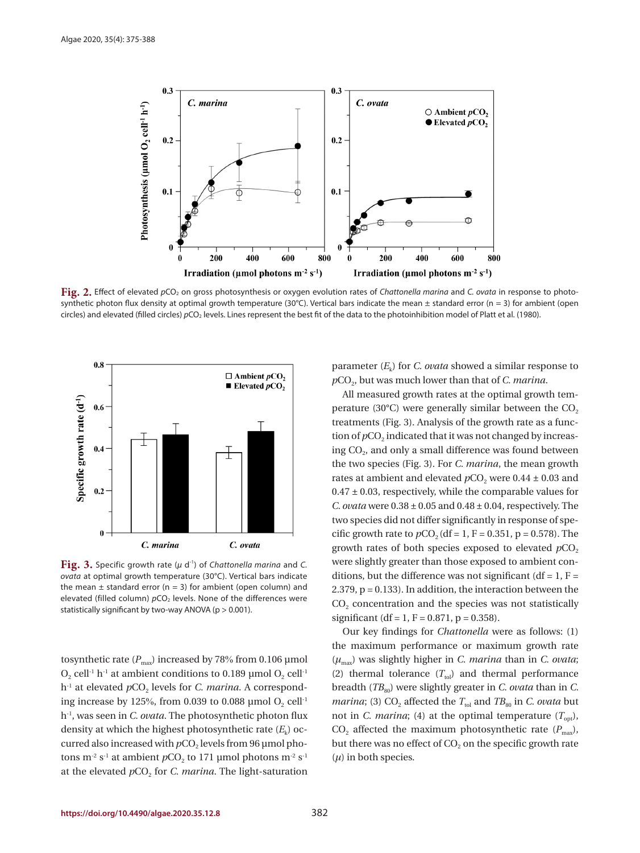

**Fig. 2.** Effect of elevated  $pCO_2$  on gross photosynthesis or oxygen evolution rates of *Chattonella marina* and *C. ovata* in response to photosynthetic photon flux density at optimal growth temperature (30°C). Vertical bars indicate the mean  $\pm$  standard error (n = 3) for ambient (open circles) and elevated (filled circles)  $pCO<sub>2</sub>$  levels. Lines represent the best fit of the data to the photoinhibition model of Platt et al. (1980).



**Fig. 3.** Specific growth rate (*μ* d-1) of *Chattonella marina* and *C. ovata* at optimal growth temperature (30°C). Vertical bars indicate the mean  $\pm$  standard error (n = 3) for ambient (open column) and elevated (filled column)  $pCO<sub>2</sub>$  levels. None of the differences were statistically significant by two-way ANOVA (p > 0.001).

tosynthetic rate  $(P_{\text{max}})$  increased by 78% from 0.106 µmol  $O_2$  cell<sup>-1</sup> h<sup>-1</sup> at ambient conditions to 0.189 µmol  $O_2$  cell<sup>-1</sup> h<sup>-1</sup> at elevated *pCO*<sub>2</sub> levels for *C. marina*. A corresponding increase by 125%, from 0.039 to 0.088 µmol  $O_2$  cell<sup>-1</sup> h-1, was seen in *C. ovata*. The photosynthetic photon flux density at which the highest photosynthetic rate  $(E_k)$  occurred also increased with *p*CO<sub>2</sub> levels from 96 μmol photons m<sup>-2</sup> s<sup>-1</sup> at ambient  $pCO_2$  to 171 µmol photons m<sup>-2</sup> s<sup>-1</sup> at the elevated  $pCO<sub>2</sub>$  for *C. marina*. The light-saturation parameter  $(E_k)$  for *C. ovata* showed a similar response to  $pCO<sub>2</sub>$ , but was much lower than that of *C. marina*.

All measured growth rates at the optimal growth temperature (30 $^{\circ}$ C) were generally similar between the CO<sub>2</sub> treatments (Fig. 3). Analysis of the growth rate as a function of  $pCO<sub>2</sub>$  indicated that it was not changed by increasing CO<sub>2</sub>, and only a small difference was found between the two species (Fig. 3). For *C. marina*, the mean growth rates at ambient and elevated  $pCO<sub>2</sub>$  were  $0.44 \pm 0.03$  and  $0.47 \pm 0.03$ , respectively, while the comparable values for *C. ovata* were 0.38 ± 0.05 and 0.48 ± 0.04, respectively. The two species did not differ significantly in response of specific growth rate to  $pCO_2$  (df = 1, F = 0.351, p = 0.578). The growth rates of both species exposed to elevated  $pCO<sub>2</sub>$ were slightly greater than those exposed to ambient conditions, but the difference was not significant (df =  $1, F =$ 2.379, p = 0.133). In addition, the interaction between the  $CO<sub>2</sub>$  concentration and the species was not statistically significant (df = 1, F = 0.871, p = 0.358).

Our key findings for *Chattonella* were as follows: (1) the maximum performance or maximum growth rate (*μ*max) was slightly higher in *C. marina* than in *C. ovata*; (2) thermal tolerance  $(T_{\text{tol}})$  and thermal performance breadth (*TB*<sub>80</sub>) were slightly greater in *C. ovata* than in *C. marina*; (3)  $CO_2$  affected the  $T_{tol}$  and  $TB_{80}$  in *C. ovata* but not in *C. marina*; (4) at the optimal temperature  $(T_{\text{out}})$ ,  $CO<sub>2</sub>$  affected the maximum photosynthetic rate ( $P<sub>max</sub>$ ), but there was no effect of  $CO<sub>2</sub>$  on the specific growth rate (*μ*) in both species.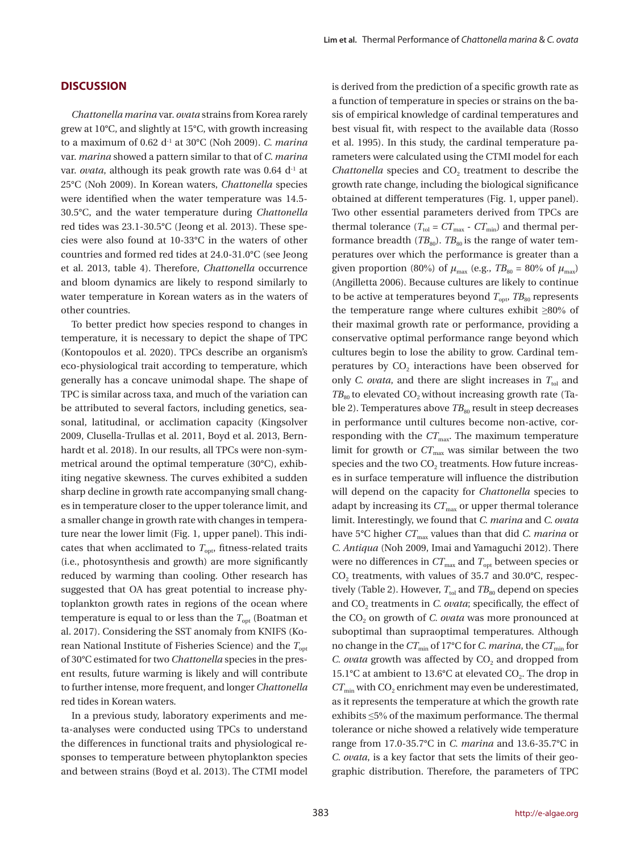*Chattonella marina* var. *ovata* strains from Korea rarely grew at 10°C, and slightly at 15°C, with growth increasing to a maximum of 0.62 d-1 at 30°C (Noh 2009). *C. marina* var. *marina* showed a pattern similar to that of *C. marina* var. *ovata*, although its peak growth rate was 0.64 d<sup>-1</sup> at 25°C (Noh 2009). In Korean waters, *Chattonella* species were identified when the water temperature was 14.5- 30.5°C, and the water temperature during *Chattonella* red tides was 23.1-30.5°C (Jeong et al. 2013). These species were also found at 10-33°C in the waters of other countries and formed red tides at 24.0-31.0°C (see Jeong et al. 2013, table 4). Therefore, *Chattonella* occurrence and bloom dynamics are likely to respond similarly to water temperature in Korean waters as in the waters of other countries.

To better predict how species respond to changes in temperature, it is necessary to depict the shape of TPC (Kontopoulos et al. 2020). TPCs describe an organism's eco-physiological trait according to temperature, which generally has a concave unimodal shape. The shape of TPC is similar across taxa, and much of the variation can be attributed to several factors, including genetics, seasonal, latitudinal, or acclimation capacity (Kingsolver 2009, Clusella-Trullas et al. 2011, Boyd et al. 2013, Bernhardt et al. 2018). In our results, all TPCs were non-symmetrical around the optimal temperature (30°C), exhibiting negative skewness. The curves exhibited a sudden sharp decline in growth rate accompanying small changes in temperature closer to the upper tolerance limit, and a smaller change in growth rate with changes in temperature near the lower limit (Fig. 1, upper panel). This indicates that when acclimated to  $T_{\text{out}}$ , fitness-related traits (i.e., photosynthesis and growth) are more significantly reduced by warming than cooling. Other research has suggested that OA has great potential to increase phytoplankton growth rates in regions of the ocean where temperature is equal to or less than the  $T_{opt}$  (Boatman et al. 2017). Considering the SST anomaly from KNIFS (Korean National Institute of Fisheries Science) and the  $T_{\text{opt}}$ of 30°C estimated for two *Chattonella* species in the present results, future warming is likely and will contribute to further intense, more frequent, and longer *Chattonella* red tides in Korean waters.

In a previous study, laboratory experiments and meta-analyses were conducted using TPCs to understand the differences in functional traits and physiological responses to temperature between phytoplankton species and between strains (Boyd et al. 2013). The CTMI model

is derived from the prediction of a specific growth rate as a function of temperature in species or strains on the basis of empirical knowledge of cardinal temperatures and best visual fit, with respect to the available data (Rosso et al. 1995). In this study, the cardinal temperature parameters were calculated using the CTMI model for each *Chattonella* species and CO<sub>2</sub> treatment to describe the growth rate change, including the biological significance obtained at different temperatures (Fig. 1, upper panel). Two other essential parameters derived from TPCs are thermal tolerance ( $T_{\text{tol}} = CT_{\text{max}} - CT_{\text{min}}$ ) and thermal performance breadth  $(TB_{80})$ .  $TB_{80}$  is the range of water temperatures over which the performance is greater than a given proportion (80%) of  $\mu_{\text{max}}$  (e.g.,  $TB_{80} = 80\%$  of  $\mu_{\text{max}}$ ) (Angilletta 2006). Because cultures are likely to continue to be active at temperatures beyond  $T_{\text{opt}}$ ,  $TB_{80}$  represents the temperature range where cultures exhibit ≥80% of their maximal growth rate or performance, providing a conservative optimal performance range beyond which cultures begin to lose the ability to grow. Cardinal temperatures by  $CO<sub>2</sub>$  interactions have been observed for only *C. ovata*, and there are slight increases in  $T_{tol}$  and  $TB<sub>80</sub>$  to elevated CO<sub>2</sub> without increasing growth rate (Table 2). Temperatures above  $TB_{80}$  result in steep decreases in performance until cultures become non-active, corresponding with the  $CT<sub>max</sub>$ . The maximum temperature limit for growth or  $CT_{\text{max}}$  was similar between the two species and the two CO<sub>2</sub> treatments. How future increases in surface temperature will influence the distribution will depend on the capacity for *Chattonella* species to adapt by increasing its  $CT_{\text{max}}$  or upper thermal tolerance limit. Interestingly, we found that *C. marina* and *C. ovata* have 5°C higher  $CT_{\text{max}}$  values than that did *C. marina* or *C. Antiqua* (Noh 2009, Imai and Yamaguchi 2012). There were no differences in  $CT_{\text{max}}$  and  $T_{\text{opt}}$  between species or  $CO<sub>2</sub>$  treatments, with values of 35.7 and 30.0°C, respectively (Table 2). However,  $T_{\text{tol}}$  and  $TB_{80}$  depend on species and CO<sub>2</sub> treatments in *C. ovata*; specifically, the effect of the CO<sub>2</sub> on growth of *C. ovata* was more pronounced at suboptimal than supraoptimal temperatures. Although no change in the  $CT_{min}$  of 17°C for *C. marina*, the  $CT_{min}$  for *C. ovata* growth was affected by CO<sub>2</sub> and dropped from 15.1°C at ambient to 13.6°C at elevated  $CO<sub>2</sub>$ . The drop in  $CT_{\text{min}}$  with  $CO_2$  enrichment may even be underestimated, as it represents the temperature at which the growth rate exhibits ≤5% of the maximum performance. The thermal tolerance or niche showed a relatively wide temperature range from 17.0-35.7°C in *C. marina* and 13.6-35.7°C in *C. ovata*, is a key factor that sets the limits of their geographic distribution. Therefore, the parameters of TPC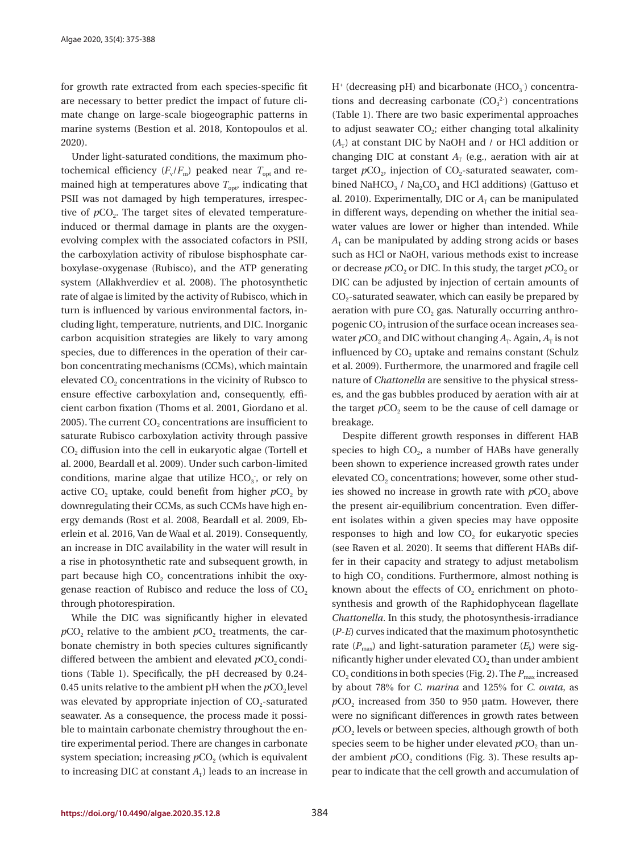for growth rate extracted from each species-specific fit are necessary to better predict the impact of future climate change on large-scale biogeographic patterns in marine systems (Bestion et al. 2018, Kontopoulos et al. 2020).

Under light-saturated conditions, the maximum photochemical efficiency  $(F_v/F_m)$  peaked near  $T_{\text{out}}$  and remained high at temperatures above  $T_{\text{opt}}$ , indicating that PSII was not damaged by high temperatures, irrespective of  $pCO<sub>2</sub>$ . The target sites of elevated temperatureinduced or thermal damage in plants are the oxygenevolving complex with the associated cofactors in PSII, the carboxylation activity of ribulose bisphosphate carboxylase-oxygenase (Rubisco), and the ATP generating system (Allakhverdiev et al. 2008). The photosynthetic rate of algae is limited by the activity of Rubisco, which in turn is influenced by various environmental factors, including light, temperature, nutrients, and DIC. Inorganic carbon acquisition strategies are likely to vary among species, due to differences in the operation of their carbon concentrating mechanisms (CCMs), which maintain elevated CO<sub>2</sub> concentrations in the vicinity of Rubsco to ensure effective carboxylation and, consequently, efficient carbon fixation (Thoms et al. 2001, Giordano et al. 2005). The current  $CO<sub>2</sub>$  concentrations are insufficient to saturate Rubisco carboxylation activity through passive  $CO<sub>2</sub>$  diffusion into the cell in eukaryotic algae (Tortell et al. 2000, Beardall et al. 2009). Under such carbon-limited conditions, marine algae that utilize  $HCO<sub>3</sub>$ , or rely on active  $CO<sub>2</sub>$  uptake, could benefit from higher  $pCO<sub>2</sub>$  by downregulating their CCMs, as such CCMs have high energy demands (Rost et al. 2008, Beardall et al. 2009, Eberlein et al. 2016, Van de Waal et al. 2019). Consequently, an increase in DIC availability in the water will result in a rise in photosynthetic rate and subsequent growth, in part because high  $CO<sub>2</sub>$  concentrations inhibit the oxygenase reaction of Rubisco and reduce the loss of  $CO<sub>2</sub>$ through photorespiration.

While the DIC was significantly higher in elevated  $pCO<sub>2</sub>$  relative to the ambient  $pCO<sub>2</sub>$  treatments, the carbonate chemistry in both species cultures significantly differed between the ambient and elevated  $pCO<sub>2</sub>$  conditions (Table 1). Specifically, the pH decreased by 0.24- 0.45 units relative to the ambient  $pH$  when the  $pCO<sub>2</sub>$  level was elevated by appropriate injection of  $CO<sub>2</sub>$ -saturated seawater. As a consequence, the process made it possible to maintain carbonate chemistry throughout the entire experimental period. There are changes in carbonate system speciation; increasing  $pCO<sub>2</sub>$  (which is equivalent to increasing DIC at constant  $A_T$ ) leads to an increase in

 $H^*$  (decreasing pH) and bicarbonate (HCO<sub>3</sub>) concentrations and decreasing carbonate  $(CO_3^2)$  concentrations (Table 1). There are two basic experimental approaches to adjust seawater  $CO<sub>2</sub>$ ; either changing total alkalinity  $(A_T)$  at constant DIC by NaOH and / or HCl addition or changing DIC at constant  $A_T$  (e.g., aeration with air at target  $pCO<sub>2</sub>$ , injection of  $CO<sub>2</sub>$ -saturated seawater, combined NaHCO<sub>3</sub> / Na<sub>2</sub>CO<sub>3</sub> and HCl additions) (Gattuso et al. 2010). Experimentally, DIC or  $A_T$  can be manipulated in different ways, depending on whether the initial seawater values are lower or higher than intended. While  $A_T$  can be manipulated by adding strong acids or bases such as HCl or NaOH, various methods exist to increase or decrease  $pCO<sub>2</sub>$  or DIC. In this study, the target  $pCO<sub>2</sub>$  or DIC can be adjusted by injection of certain amounts of  $CO<sub>2</sub>$ -saturated seawater, which can easily be prepared by aeration with pure  $CO<sub>2</sub>$  gas. Naturally occurring anthropogenic CO<sub>2</sub> intrusion of the surface ocean increases seawater  $pCO_2$  and DIC without changing  $A_T$ . Again,  $A_T$  is not influenced by  $CO<sub>2</sub>$  uptake and remains constant (Schulz et al. 2009). Furthermore, the unarmored and fragile cell nature of *Chattonella* are sensitive to the physical stresses, and the gas bubbles produced by aeration with air at the target  $pCO<sub>2</sub>$  seem to be the cause of cell damage or breakage.

Despite different growth responses in different HAB species to high  $CO<sub>2</sub>$ , a number of HABs have generally been shown to experience increased growth rates under elevated  $CO<sub>2</sub>$  concentrations; however, some other studies showed no increase in growth rate with  $pCO<sub>2</sub>$  above the present air-equilibrium concentration. Even different isolates within a given species may have opposite responses to high and low  $CO<sub>2</sub>$  for eukaryotic species (see Raven et al. 2020). It seems that different HABs differ in their capacity and strategy to adjust metabolism to high  $CO<sub>2</sub>$  conditions. Furthermore, almost nothing is known about the effects of  $CO<sub>2</sub>$  enrichment on photosynthesis and growth of the Raphidophycean flagellate *Chattonella*. In this study, the photosynthesis-irradiance (*P*-*E*) curves indicated that the maximum photosynthetic rate  $(P_{\text{max}})$  and light-saturation parameter  $(E_k)$  were significantly higher under elevated  $CO<sub>2</sub>$  than under ambient CO<sub>2</sub> conditions in both species (Fig. 2). The  $P_{\text{max}}$  increased by about 78% for *C. marina* and 125% for *C. ovata*, as  $pCO<sub>2</sub>$  increased from 350 to 950  $\mu$ atm. However, there were no significant differences in growth rates between  $pCO<sub>2</sub>$  levels or between species, although growth of both species seem to be higher under elevated  $pCO<sub>2</sub>$  than under ambient  $pCO<sub>2</sub>$  conditions (Fig. 3). These results appear to indicate that the cell growth and accumulation of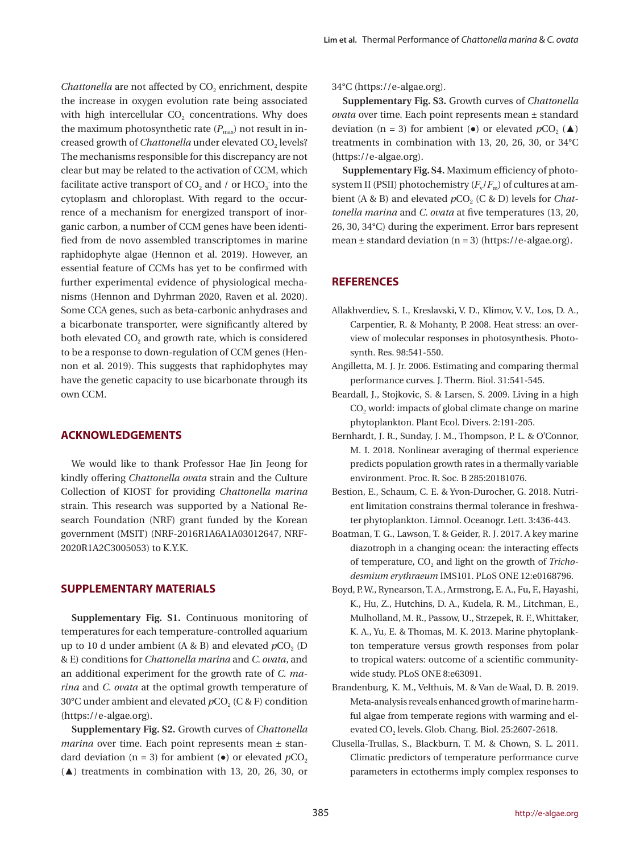*Chattonella* are not affected by CO<sub>2</sub> enrichment, despite the increase in oxygen evolution rate being associated with high intercellular  $CO<sub>2</sub>$  concentrations. Why does the maximum photosynthetic rate  $(P_{\text{max}})$  not result in increased growth of *Chattonella* under elevated CO<sub>2</sub> levels? The mechanisms responsible for this discrepancy are not clear but may be related to the activation of CCM, which facilitate active transport of  $CO_2$  and / or  $HCO_3$  into the cytoplasm and chloroplast. With regard to the occurrence of a mechanism for energized transport of inorganic carbon, a number of CCM genes have been identified from de novo assembled transcriptomes in marine raphidophyte algae (Hennon et al. 2019). However, an essential feature of CCMs has yet to be confirmed with further experimental evidence of physiological mechanisms (Hennon and Dyhrman 2020, Raven et al. 2020). Some CCA genes, such as beta-carbonic anhydrases and a bicarbonate transporter, were significantly altered by both elevated CO<sub>2</sub> and growth rate, which is considered to be a response to down-regulation of CCM genes (Hennon et al. 2019). This suggests that raphidophytes may have the genetic capacity to use bicarbonate through its own CCM.

#### **ACKNOWLEDGEMENTS**

We would like to thank Professor Hae Jin Jeong for kindly offering *Chattonella ovata* strain and the Culture Collection of KIOST for providing *Chattonella marina* strain. This research was supported by a National Research Foundation (NRF) grant funded by the Korean government (MSIT) (NRF-2016R1A6A1A03012647, NRF-2020R1A2C3005053) to K.Y.K.

#### **SUPPLEMENTARY MATERIALS**

**Supplementary Fig. S1.** Continuous monitoring of temperatures for each temperature-controlled aquarium up to 10 d under ambient (A & B) and elevated  $pCO<sub>2</sub>$  (D & E) conditions for *Chattonella marina* and *C. ovata*, and an additional experiment for the growth rate of *C. marina* and *C. ovata* at the optimal growth temperature of 30°C under ambient and elevated  $pCO<sub>2</sub>$  (C & F) condition (https://e-algae.org).

**Supplementary Fig. S2.** Growth curves of *Chattonella marina* over time. Each point represents mean ± standard deviation ( $n = 3$ ) for ambient ( $\bullet$ ) or elevated  $pCO<sub>2</sub>$ (▲) treatments in combination with 13, 20, 26, 30, or 34°C (https://e-algae.org).

**Supplementary Fig. S3.** Growth curves of *Chattonella ovata* over time. Each point represents mean ± standard deviation (n = 3) for ambient ( $\bullet$ ) or elevated  $pCO<sub>2</sub>(\triangle)$ treatments in combination with 13, 20, 26, 30, or 34°C (https://e-algae.org).

**Supplementary Fig. S4.** Maximum efficiency of photosystem II (PSII) photochemistry  $(F_v/F_m)$  of cultures at ambient (A & B) and elevated  $pCO$ , (C & D) levels for *Chattonella marina* and *C. ovata* at five temperatures (13, 20, 26, 30, 34°C) during the experiment. Error bars represent mean ± standard deviation (n = 3) (https://e-algae.org).

#### **REFERENCES**

- Allakhverdiev, S. I., Kreslavski, V. D., Klimov, V. V., Los, D. A., Carpentier, R. & Mohanty, P. 2008. Heat stress: an overview of molecular responses in photosynthesis. Photosynth. Res. 98:541-550.
- Angilletta, M. J. Jr. 2006. Estimating and comparing thermal performance curves. J. Therm. Biol. 31:541-545.
- Beardall, J., Stojkovic, S. & Larsen, S. 2009. Living in a high CO<sub>2</sub> world: impacts of global climate change on marine phytoplankton. Plant Ecol. Divers. 2:191-205.
- Bernhardt, J. R., Sunday, J. M., Thompson, P. L. & O'Connor, M. I. 2018. Nonlinear averaging of thermal experience predicts population growth rates in a thermally variable environment. Proc. R. Soc. B 285:20181076.
- Bestion, E., Schaum, C. E. & Yvon‐Durocher, G. 2018. Nutrient limitation constrains thermal tolerance in freshwater phytoplankton. Limnol. Oceanogr. Lett. 3:436-443.
- Boatman, T. G., Lawson, T. & Geider, R. J. 2017. A key marine diazotroph in a changing ocean: the interacting effects of temperature,  $CO<sub>2</sub>$  and light on the growth of *Trichodesmium erythraeum* IMS101. PLoS ONE 12:e0168796.
- Boyd, P. W., Rynearson, T. A., Armstrong, E. A., Fu, F., Hayashi, K., Hu, Z., Hutchins, D. A., Kudela, R. M., Litchman, E., Mulholland, M. R., Passow, U., Strzepek, R. F., Whittaker, K. A., Yu, E. & Thomas, M. K. 2013. Marine phytoplankton temperature versus growth responses from polar to tropical waters: outcome of a scientific communitywide study. PLoS ONE 8:e63091.
- Brandenburg, K. M., Velthuis, M. & Van de Waal, D. B. 2019. Meta‐analysis reveals enhanced growth of marine harmful algae from temperate regions with warming and elevated CO<sub>2</sub> levels. Glob. Chang. Biol. 25:2607-2618.
- Clusella-Trullas, S., Blackburn, T. M. & Chown, S. L. 2011. Climatic predictors of temperature performance curve parameters in ectotherms imply complex responses to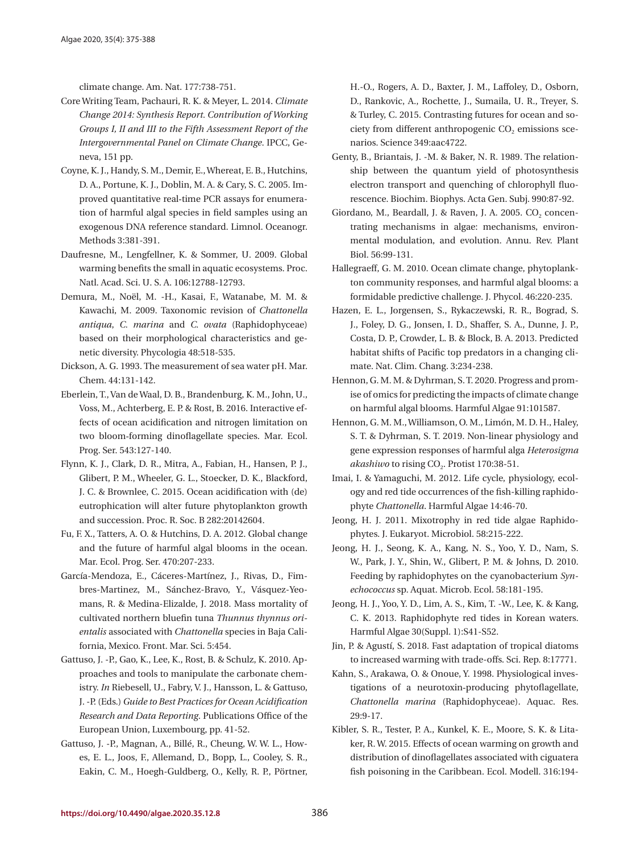climate change. Am. Nat. 177:738-751.

- Core Writing Team, Pachauri, R. K. & Meyer, L. 2014. *Climate Change 2014: Synthesis Report. Contribution of Working Groups I, II and III to the Fifth Assessment Report of the Intergovernmental Panel on Climate Change*. IPCC, Geneva, 151 pp.
- Coyne, K. J., Handy, S. M., Demir, E., Whereat, E. B., Hutchins, D. A., Portune, K. J., Doblin, M. A. & Cary, S. C. 2005. Improved quantitative real-time PCR assays for enumeration of harmful algal species in field samples using an exogenous DNA reference standard. Limnol. Oceanogr. Methods 3:381-391.
- Daufresne, M., Lengfellner, K. & Sommer, U. 2009. Global warming benefits the small in aquatic ecosystems. Proc. Natl. Acad. Sci. U. S. A. 106:12788-12793.
- Demura, M., Noël, M. -H., Kasai, F., Watanabe, M. M. & Kawachi, M. 2009. Taxonomic revision of *Chattonella antiqua*, *C. marina* and *C. ovata* (Raphidophyceae) based on their morphological characteristics and genetic diversity. Phycologia 48:518-535.
- Dickson, A. G. 1993. The measurement of sea water pH. Mar. Chem. 44:131-142.
- Eberlein, T., Van de Waal, D. B., Brandenburg, K. M., John, U., Voss, M., Achterberg, E. P. & Rost, B. 2016. Interactive effects of ocean acidification and nitrogen limitation on two bloom‐forming dinoflagellate species. Mar. Ecol. Prog. Ser. 543:127-140.
- Flynn, K. J., Clark, D. R., Mitra, A., Fabian, H., Hansen, P. J., Glibert, P. M., Wheeler, G. L., Stoecker, D. K., Blackford, J. C. & Brownlee, C. 2015. Ocean acidification with (de) eutrophication will alter future phytoplankton growth and succession. Proc. R. Soc. B 282:20142604.
- Fu, F. X., Tatters, A. O. & Hutchins, D. A. 2012. Global change and the future of harmful algal blooms in the ocean. Mar. Ecol. Prog. Ser. 470:207-233.
- García-Mendoza, E., Cáceres-Martínez, J., Rivas, D., Fimbres-Martinez, M., Sánchez-Bravo, Y., Vásquez-Yeomans, R. & Medina-Elizalde, J. 2018. Mass mortality of cultivated northern bluefin tuna *Thunnus thynnus orientalis* associated with *Chattonella* species in Baja California, Mexico. Front. Mar. Sci. 5:454.
- Gattuso, J. -P., Gao, K., Lee, K., Rost, B. & Schulz, K. 2010. Approaches and tools to manipulate the carbonate chemistry. *In* Riebesell, U., Fabry, V. J., Hansson, L. & Gattuso, J. -P. (Eds.) *Guide to Best Practices for Ocean Acidification Research and Data Reporting*. Publications Office of the European Union, Luxembourg, pp. 41-52.
- Gattuso, J. -P., Magnan, A., Billé, R., Cheung, W. W. L., Howes, E. L., Joos, F., Allemand, D., Bopp, L., Cooley, S. R., Eakin, C. M., Hoegh-Guldberg, O., Kelly, R. P., Pörtner,

H.-O., Rogers, A. D., Baxter, J. M., Laffoley, D., Osborn, D., Rankovic, A., Rochette, J., Sumaila, U. R., Treyer, S. & Turley, C. 2015. Contrasting futures for ocean and society from different anthropogenic  $CO<sub>2</sub>$  emissions scenarios. Science 349:aac4722.

- Genty, B., Briantais, J. -M. & Baker, N. R. 1989. The relationship between the quantum yield of photosynthesis electron transport and quenching of chlorophyll fluorescence. Biochim. Biophys. Acta Gen. Subj. 990:87-92.
- Giordano, M., Beardall, J. & Raven, J. A. 2005. CO<sub>2</sub> concentrating mechanisms in algae: mechanisms, environmental modulation, and evolution. Annu. Rev. Plant Biol. 56:99-131.
- Hallegraeff, G. M. 2010. Ocean climate change, phytoplankton community responses, and harmful algal blooms: a formidable predictive challenge. J. Phycol. 46:220-235.
- Hazen, E. L., Jorgensen, S., Rykaczewski, R. R., Bograd, S. J., Foley, D. G., Jonsen, I. D., Shaffer, S. A., Dunne, J. P., Costa, D. P., Crowder, L. B. & Block, B. A. 2013. Predicted habitat shifts of Pacific top predators in a changing climate. Nat. Clim. Chang. 3:234-238.
- Hennon, G. M. M. & Dyhrman, S. T. 2020. Progress and promise of omics for predicting the impacts of climate change on harmful algal blooms. Harmful Algae 91:101587.
- Hennon, G. M. M., Williamson, O. M., Limón, M. D. H., Haley, S. T. & Dyhrman, S. T. 2019. Non-linear physiology and gene expression responses of harmful alga *Heterosigma*  akashiwo to rising CO<sub>2</sub>. Protist 170:38-51.
- Imai, I. & Yamaguchi, M. 2012. Life cycle, physiology, ecology and red tide occurrences of the fish-killing raphidophyte *Chattonella*. Harmful Algae 14:46-70.
- Jeong, H. J. 2011. Mixotrophy in red tide algae Raphidophytes. J. Eukaryot. Microbiol. 58:215-222.
- Jeong, H. J., Seong, K. A., Kang, N. S., Yoo, Y. D., Nam, S. W., Park, J. Y., Shin, W., Glibert, P. M. & Johns, D. 2010. Feeding by raphidophytes on the cyanobacterium *Synechococcus* sp. Aquat. Microb. Ecol. 58:181-195.
- Jeong, H. J., Yoo, Y. D., Lim, A. S., Kim, T. -W., Lee, K. & Kang, C. K. 2013. Raphidophyte red tides in Korean waters. Harmful Algae 30(Suppl. 1):S41-S52.
- Jin, P. & Agustí, S. 2018. Fast adaptation of tropical diatoms to increased warming with trade-offs. Sci. Rep. 8:17771.
- Kahn, S., Arakawa, O. & Onoue, Y. 1998. Physiological investigations of a neurotoxin‐producing phytoflagellate, *Chattonella marina* (Raphidophyceae). Aquac. Res. 29:9-17.
- Kibler, S. R., Tester, P. A., Kunkel, K. E., Moore, S. K. & Litaker, R. W. 2015. Effects of ocean warming on growth and distribution of dinoflagellates associated with ciguatera fish poisoning in the Caribbean. Ecol. Modell. 316:194-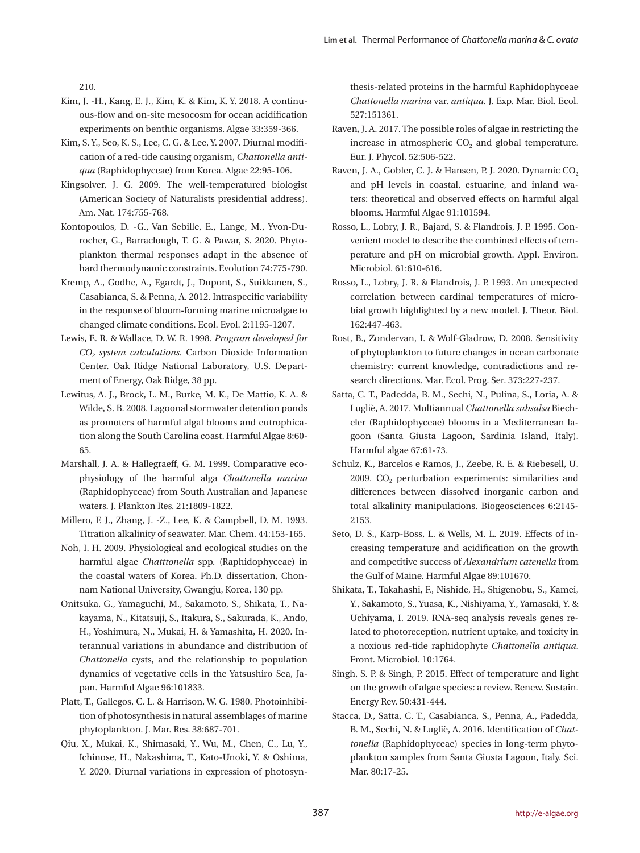210.

- Kim, J. -H., Kang, E. J., Kim, K. & Kim, K. Y. 2018. A continuous-flow and on-site mesocosm for ocean acidification experiments on benthic organisms. Algae 33:359-366.
- Kim, S. Y., Seo, K. S., Lee, C. G. & Lee, Y. 2007. Diurnal modification of a red-tide causing organism, *Chattonella antiqua* (Raphidophyceae) from Korea. Algae 22:95-106.
- Kingsolver, J. G. 2009. The well-temperatured biologist (American Society of Naturalists presidential address). Am. Nat. 174:755-768.
- Kontopoulos, D. -G., Van Sebille, E., Lange, M., Yvon‐Durocher, G., Barraclough, T. G. & Pawar, S. 2020. Phytoplankton thermal responses adapt in the absence of hard thermodynamic constraints. Evolution 74:775-790.
- Kremp, A., Godhe, A., Egardt, J., Dupont, S., Suikkanen, S., Casabianca, S. & Penna, A. 2012. Intraspecific variability in the response of bloom‐forming marine microalgae to changed climate conditions. Ecol. Evol. 2:1195-1207.
- Lewis, E. R. & Wallace, D. W. R. 1998. *Program developed for CO2 system calculations.* Carbon Dioxide Information Center. Oak Ridge National Laboratory, U.S. Department of Energy, Oak Ridge, 38 pp.
- Lewitus, A. J., Brock, L. M., Burke, M. K., De Mattio, K. A. & Wilde, S. B. 2008. Lagoonal stormwater detention ponds as promoters of harmful algal blooms and eutrophication along the South Carolina coast. Harmful Algae 8:60- 65.
- Marshall, J. A. & Hallegraeff, G. M. 1999. Comparative ecophysiology of the harmful alga *Chattonella marina* (Raphidophyceae) from South Australian and Japanese waters. J. Plankton Res. 21:1809-1822.
- Millero, F. J., Zhang, J. -Z., Lee, K. & Campbell, D. M. 1993. Titration alkalinity of seawater. Mar. Chem. 44:153-165.
- Noh, I. H. 2009. Physiological and ecological studies on the harmful algae *Chatttonella* spp. (Raphidophyceae) in the coastal waters of Korea. Ph.D. dissertation, Chonnam National University, Gwangju, Korea, 130 pp.
- Onitsuka, G., Yamaguchi, M., Sakamoto, S., Shikata, T., Nakayama, N., Kitatsuji, S., Itakura, S., Sakurada, K., Ando, H., Yoshimura, N., Mukai, H. & Yamashita, H. 2020. Interannual variations in abundance and distribution of *Chattonella* cysts, and the relationship to population dynamics of vegetative cells in the Yatsushiro Sea, Japan. Harmful Algae 96:101833.
- Platt, T., Gallegos, C. L. & Harrison, W. G. 1980. Photoinhibition of photosynthesis in natural assemblages of marine phytoplankton. J. Mar. Res. 38:687-701.
- Qiu, X., Mukai, K., Shimasaki, Y., Wu, M., Chen, C., Lu, Y., Ichinose, H., Nakashima, T., Kato-Unoki, Y. & Oshima, Y. 2020. Diurnal variations in expression of photosyn-

thesis-related proteins in the harmful Raphidophyceae *Chattonella marina* var. *antiqua*. J. Exp. Mar. Biol. Ecol. 527:151361.

- Raven, J. A. 2017. The possible roles of algae in restricting the increase in atmospheric  $CO<sub>2</sub>$  and global temperature. Eur. J. Phycol. 52:506-522.
- Raven, J. A., Gobler, C. J. & Hansen, P. J. 2020. Dynamic CO<sub>2</sub> and pH levels in coastal, estuarine, and inland waters: theoretical and observed effects on harmful algal blooms. Harmful Algae 91:101594.
- Rosso, L., Lobry, J. R., Bajard, S. & Flandrois, J. P. 1995. Convenient model to describe the combined effects of temperature and pH on microbial growth. Appl. Environ. Microbiol. 61:610-616.
- Rosso, L., Lobry, J. R. & Flandrois, J. P. 1993. An unexpected correlation between cardinal temperatures of microbial growth highlighted by a new model. J. Theor. Biol. 162:447-463.
- Rost, B., Zondervan, I. & Wolf‐Gladrow, D. 2008. Sensitivity of phytoplankton to future changes in ocean carbonate chemistry: current knowledge, contradictions and research directions. Mar. Ecol. Prog. Ser. 373:227-237.
- Satta, C. T., Padedda, B. M., Sechi, N., Pulina, S., Loria, A. & Lugliè, A. 2017. Multiannual *Chattonella subsalsa* Biecheler (Raphidophyceae) blooms in a Mediterranean lagoon (Santa Giusta Lagoon, Sardinia Island, Italy). Harmful algae 67:61-73.
- Schulz, K., Barcelos e Ramos, J., Zeebe, R. E. & Riebesell, U. 2009.  $CO<sub>2</sub>$  perturbation experiments: similarities and differences between dissolved inorganic carbon and total alkalinity manipulations. Biogeosciences 6:2145- 2153.
- Seto, D. S., Karp-Boss, L. & Wells, M. L. 2019. Effects of increasing temperature and acidification on the growth and competitive success of *Alexandrium catenella* from the Gulf of Maine. Harmful Algae 89:101670.
- Shikata, T., Takahashi, F., Nishide, H., Shigenobu, S., Kamei, Y., Sakamoto, S., Yuasa, K., Nishiyama, Y., Yamasaki, Y. & Uchiyama, I. 2019. RNA-seq analysis reveals genes related to photoreception, nutrient uptake, and toxicity in a noxious red-tide raphidophyte *Chattonella antiqua*. Front. Microbiol. 10:1764.
- Singh, S. P. & Singh, P. 2015. Effect of temperature and light on the growth of algae species: a review. Renew. Sustain. Energy Rev. 50:431-444.
- Stacca, D., Satta, C. T., Casabianca, S., Penna, A., Padedda, B. M., Sechi, N. & Lugliè, A. 2016. Identification of *Chattonella* (Raphidophyceae) species in long-term phytoplankton samples from Santa Giusta Lagoon, Italy. Sci. Mar. 80:17-25.